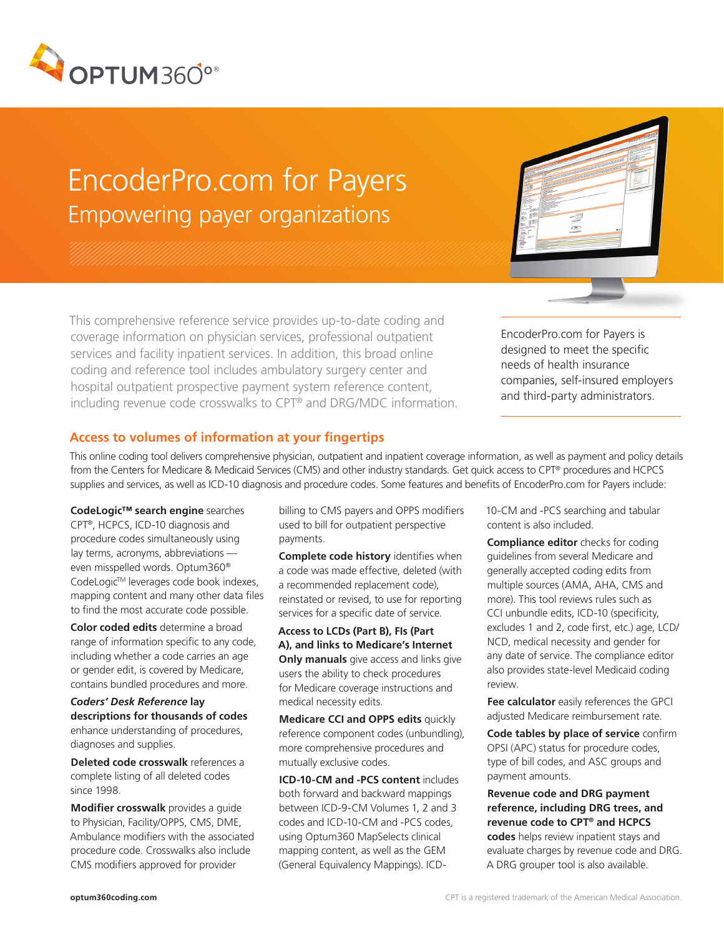

# EncoderPro.com for Payers Empowering payer organizations

This comprehensive reference service provides up-to-date coding and coverage information on physician services, professional outpatient services and facility inpatient services. In addition, this broad online coding and reference tool includes ambulatory surgery center and hospital outpatient prospective payment system reference content, including revenue code crosswalks to CPT® and DRG/MDC information.

EncoderPro.com for Payers is designed to meet the specific needs of health insurance companies, self-insured employers and third-party administrators.

# **Access to volumes of information at your fingertips**

This online coding tool delivers comprehensive physician, outpatient and inpatient coverage information, as well as payment and policy details from the Centers for Medicare & Medicaid Services (CMS) and other industry standards. Get quick access to CPT® procedures and HCPCS supplies and services, as well as ICD-10 diagnosis and procedure codes. Some features and benefits of EncoderPro.com for Payers include:

**CodeLogic™ search engine** searches CPT®, HCPCS, ICD-10 diagnosis and procedure codes simultaneously using lay terms, acronyms, abbreviations even misspelled words. Optum360® CodeLogic™ leverages code book indexes, mapping content and many other data files to find the most accurate code possible.

**Color coded edits** determine a broad range of information specific to any code, including whether a code carries an age or gender edit, is covered by Medicare, contains bundled procedures and more.

*Coders' Desk Reference* **lay descriptions for thousands of codes** enhance understanding of procedures, diagnoses and supplies.

**Deleted code crosswalk** references a complete listing of all deleted codes since 1998.

**Modifier crosswalk** provides a guide to Physician, Facility/OPPS, CMS, DME, Ambulance modifiers with the associated procedure code. Crosswalks also include CMS modifiers approved for provider

billing to CMS payers and OPPS modifiers used to bill for outpatient perspective payments.

**Complete code history** identifies when a code was made effective, deleted (with a recommended replacement code), reinstated or revised, to use for reporting services for a specific date of service.

**Access to LCDs (Part B), FIs (Part A), and links to Medicare's Internet Only manuals** give access and links give users the ability to check procedures for Medicare coverage instructions and medical necessity edits.

**Medicare CCI and OPPS edits** quickly reference component codes (unbundling), more comprehensive procedures and mutually exclusive codes.

**ICD-10-CM and -PCS content** includes both forward and backward mappings between ICD-9-CM Volumes 1, 2 and 3 codes and ICD-10-CM and -PCS codes, using Optum360 MapSelects clinical mapping content, as well as the GEM (General Equivalency Mappings). ICD-

10-CM and -PCS searching and tabular content is also included.

**Compliance editor** checks for coding guidelines from several Medicare and generally accepted coding edits from multiple sources (AMA, AHA, CMS and more). This tool reviews rules such as CCI unbundle edits, ICD-10 (specificity, excludes 1 and 2, code first, etc.) age, LCD/ NCD, medical necessity and gender for any date of service. The compliance editor also provides state-level Medicaid coding review.

**Fee calculator** easily references the GPCI adjusted Medicare reimbursement rate.

**Code tables by place of service** confirm OPSI (APC) status for procedure codes, type of bill codes, and ASC groups and payment amounts.

## **Revenue code and DRG payment reference, including DRG trees, and revenue code to CPT® and HCPCS codes** helps review inpatient stays and evaluate charges by revenue code and DRG. A DRG grouper tool is also available.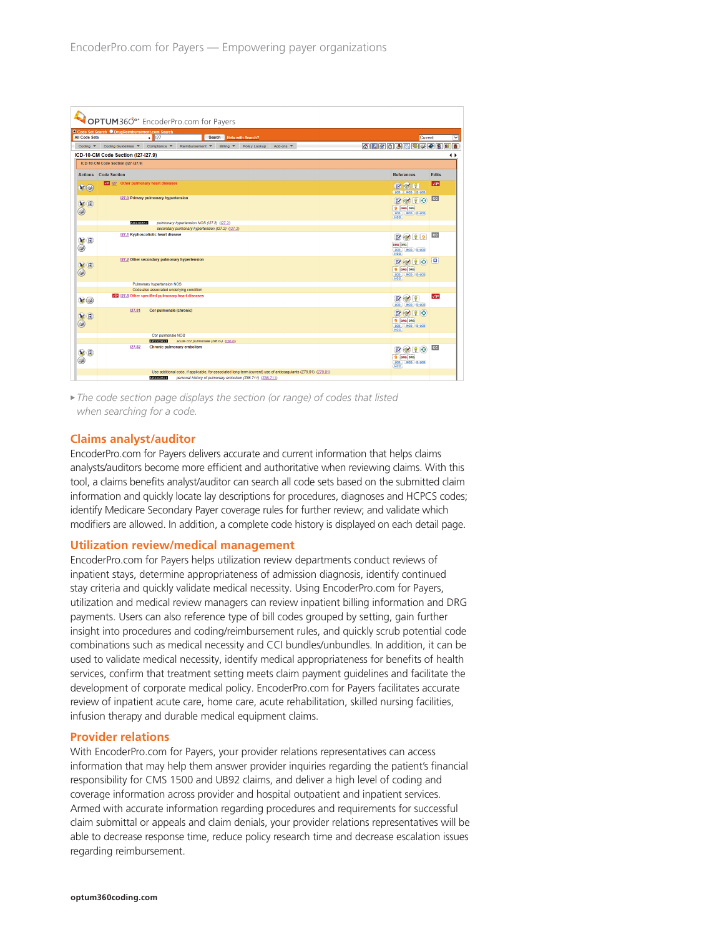| OPTUM360° EncoderPro.com for Payers                                                                                                            |                                                                                                                    |                                                                                 |                         |  |  |
|------------------------------------------------------------------------------------------------------------------------------------------------|--------------------------------------------------------------------------------------------------------------------|---------------------------------------------------------------------------------|-------------------------|--|--|
| O Code Set Search O DrugReimbursement.com Search<br><b>All Code Sets</b><br>$\bullet$   127<br>Search  <br><b>Help with Search?</b><br>Current |                                                                                                                    |                                                                                 |                         |  |  |
| Coding $\blacktriangledown$                                                                                                                    | Coding Guidelines<br>Compliance V<br>Reimbursement ¥<br>Policy Lookup<br>Billing Y<br>Add-ons                      | 6 <b>A 6 6 5 6 6 6 8 8 8 8</b>                                                  |                         |  |  |
|                                                                                                                                                | ICD-10-CM Code Section (I27-I27.9)                                                                                 |                                                                                 | ◆                       |  |  |
|                                                                                                                                                | ICD-10-CM Code Section (I27-I27.9)                                                                                 |                                                                                 |                         |  |  |
| <b>Actions</b> Code Section                                                                                                                    |                                                                                                                    | <b>References</b>                                                               | <b>Edits</b>            |  |  |
| $\mathbf{F} \odot$                                                                                                                             | VC 127 Other pulmonary heart diseases                                                                              | BIR<br><b>LCD NCD D.LCD</b>                                                     | $\sqrt{p}$              |  |  |
| %                                                                                                                                              | 127.0 Primary pulmonary hypertension                                                                               | R<br>9 DRG DRG<br>LCD (NCD ) D-LCD<br>HCC                                       | <b>cc</b>               |  |  |
|                                                                                                                                                | <b>EXCLUDES1</b><br>pulmonary hypertension NOS (127.2) (127.2)<br>secondary pulmonary hypertension (127.2) (127.2) |                                                                                 |                         |  |  |
| VI<br>۵                                                                                                                                        | 127.1 Kyphoscoliotic heart disease                                                                                 | $\bullet$ $\bullet$ $\bullet$<br>DRG DRG<br>LCD (NCD D-LCD)<br>HCC              | cc                      |  |  |
| %                                                                                                                                              | 127.2 Other secondary pulmonary hypertension                                                                       | 910<br>B<br>9 DRG DRG<br>LCD NCD D-LCD<br><b>HCC</b>                            | ıо                      |  |  |
|                                                                                                                                                | Pulmonary hypertension NOS                                                                                         |                                                                                 |                         |  |  |
| $\mathbf{b}(\mathbf{0})$                                                                                                                       | Code also associated underlying condition<br><b>VSP 127.8 Other specified pulmonary heart diseases</b>             | $R \otimes 2$<br>LCD NCD D-LCD                                                  | $\sqrt{5}$ <sup>3</sup> |  |  |
| %                                                                                                                                              | 127.81<br>Cor pulmonale (chronic)                                                                                  | BRIO<br>9 DRG DRG<br>LCD NCD D-LCD<br>HCC                                       |                         |  |  |
|                                                                                                                                                | Cor pulmonale NOS                                                                                                  |                                                                                 |                         |  |  |
| $\overset{\bigcirc}{\bullet}$                                                                                                                  | <b>EXCHANGER</b><br>acute cor pulmonale (126.0-) (126.0)<br>127.82<br>Chronic pulmonary embolism                   | $\mathbb{R} \otimes \mathbb{R} \otimes$<br>9 DRG DRG<br>LCD (NCD D-LCD)<br>HCC. | cc                      |  |  |
|                                                                                                                                                | Use additional code, if applicable, for associated long-term (current) use of anticoagulants (279.01) (279.01)     |                                                                                 |                         |  |  |
|                                                                                                                                                | 3,202,559,559<br>personal history of pulmonary embolism (Z86.711) (Z86.711)                                        |                                                                                 |                         |  |  |

▶ The code section page displays the section (or range) of codes that listed *when searching for a code.*

### **Claims analyst/auditor**

EncoderPro.com for Payers delivers accurate and current information that helps claims analysts/auditors become more efficient and authoritative when reviewing claims. With this tool, a claims benefits analyst/auditor can search all code sets based on the submitted claim information and quickly locate lay descriptions for procedures, diagnoses and HCPCS codes; identify Medicare Secondary Payer coverage rules for further review; and validate which modifiers are allowed. In addition, a complete code history is displayed on each detail page.

### **Utilization review/medical management**

EncoderPro.com for Payers helps utilization review departments conduct reviews of inpatient stays, determine appropriateness of admission diagnosis, identify continued stay criteria and quickly validate medical necessity. Using EncoderPro.com for Payers, utilization and medical review managers can review inpatient billing information and DRG payments. Users can also reference type of bill codes grouped by setting, gain further insight into procedures and coding/reimbursement rules, and quickly scrub potential code combinations such as medical necessity and CCI bundles/unbundles. In addition, it can be used to validate medical necessity, identify medical appropriateness for benefits of health services, confirm that treatment setting meets claim payment guidelines and facilitate the development of corporate medical policy. EncoderPro.com for Payers facilitates accurate review of inpatient acute care, home care, acute rehabilitation, skilled nursing facilities, infusion therapy and durable medical equipment claims.

#### **Provider relations**

With EncoderPro.com for Payers, your provider relations representatives can access information that may help them answer provider inquiries regarding the patient's financial responsibility for CMS 1500 and UB92 claims, and deliver a high level of coding and coverage information across provider and hospital outpatient and inpatient services. Armed with accurate information regarding procedures and requirements for successful claim submittal or appeals and claim denials, your provider relations representatives will be able to decrease response time, reduce policy research time and decrease escalation issues regarding reimbursement.